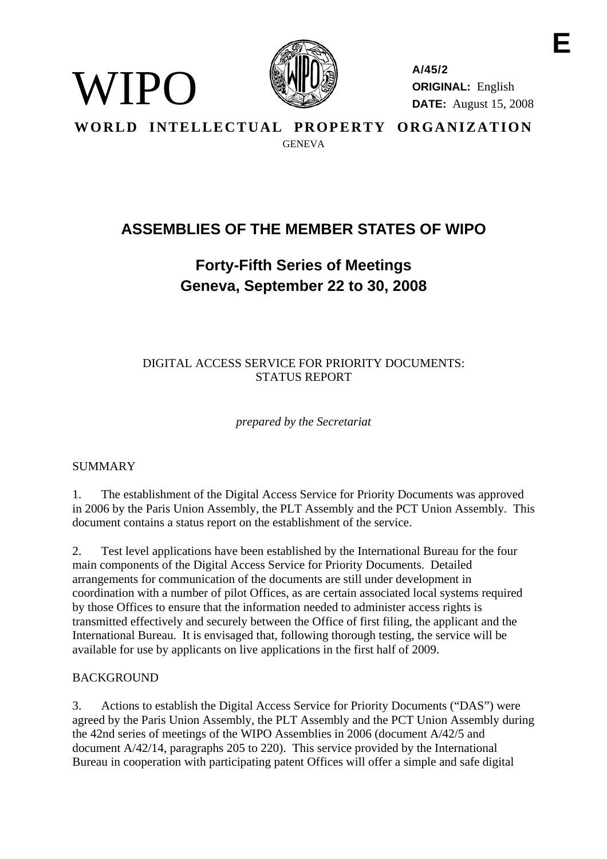

**A/45/2 ORIGINAL:** English **DATE:** August 15, 2008

**WORLD INTELLECTUAL PROPERTY ORGANIZATION GENEVA** 

## **ASSEMBLIES OF THE MEMBER STATES OF WIPO**

# **Forty-Fifth Series of Meetings Geneva, September 22 to 30, 2008**

DIGITAL ACCESS SERVICE FOR PRIORITY DOCUMENTS: STATUS REPORT

*prepared by the Secretariat* 

## SUMMARY

WIPO

1. The establishment of the Digital Access Service for Priority Documents was approved in 2006 by the Paris Union Assembly, the PLT Assembly and the PCT Union Assembly. This document contains a status report on the establishment of the service.

2. Test level applications have been established by the International Bureau for the four main components of the Digital Access Service for Priority Documents. Detailed arrangements for communication of the documents are still under development in coordination with a number of pilot Offices, as are certain associated local systems required by those Offices to ensure that the information needed to administer access rights is transmitted effectively and securely between the Office of first filing, the applicant and the International Bureau. It is envisaged that, following thorough testing, the service will be available for use by applicants on live applications in the first half of 2009.

### **BACKGROUND**

3. Actions to establish the Digital Access Service for Priority Documents ("DAS") were agreed by the Paris Union Assembly, the PLT Assembly and the PCT Union Assembly during the 42nd series of meetings of the WIPO Assemblies in 2006 (document A/42/5 and document A/42/14, paragraphs 205 to 220). This service provided by the International Bureau in cooperation with participating patent Offices will offer a simple and safe digital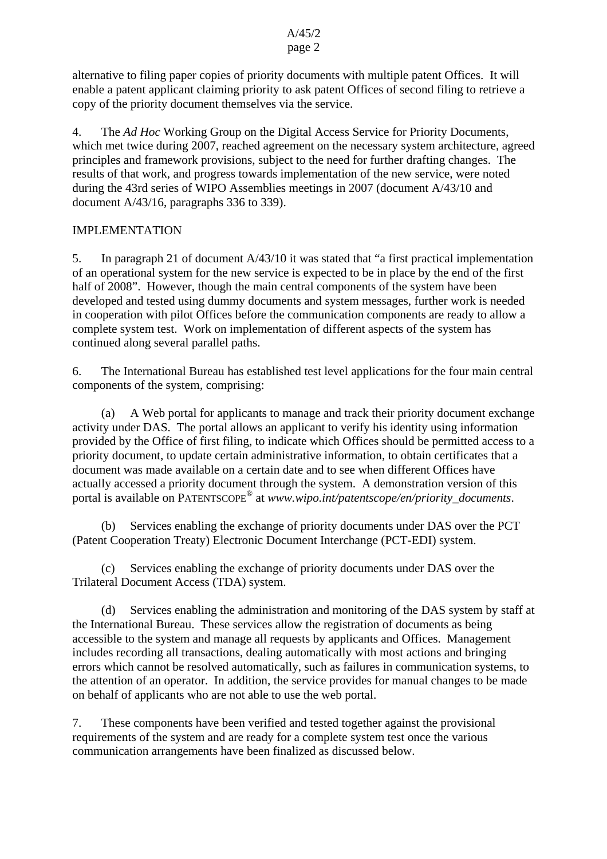alternative to filing paper copies of priority documents with multiple patent Offices. It will enable a patent applicant claiming priority to ask patent Offices of second filing to retrieve a copy of the priority document themselves via the service.

4. The *Ad Hoc* Working Group on the Digital Access Service for Priority Documents, which met twice during 2007, reached agreement on the necessary system architecture, agreed principles and framework provisions, subject to the need for further drafting changes. The results of that work, and progress towards implementation of the new service, were noted during the 43rd series of WIPO Assemblies meetings in 2007 (document A/43/10 and document A/43/16, paragraphs 336 to 339).

### IMPLEMENTATION

5. In paragraph 21 of document A/43/10 it was stated that "a first practical implementation of an operational system for the new service is expected to be in place by the end of the first half of 2008". However, though the main central components of the system have been developed and tested using dummy documents and system messages, further work is needed in cooperation with pilot Offices before the communication components are ready to allow a complete system test. Work on implementation of different aspects of the system has continued along several parallel paths.

6. The International Bureau has established test level applications for the four main central components of the system, comprising:

 (a) A Web portal for applicants to manage and track their priority document exchange activity under DAS. The portal allows an applicant to verify his identity using information provided by the Office of first filing, to indicate which Offices should be permitted access to a priority document, to update certain administrative information, to obtain certificates that a document was made available on a certain date and to see when different Offices have actually accessed a priority document through the system. A demonstration version of this portal is available on PATENTSCOPE<sup>®</sup> at *www.wipo.int/patentscope/en/priority\_documents.* 

 (b) Services enabling the exchange of priority documents under DAS over the PCT (Patent Cooperation Treaty) Electronic Document Interchange (PCT-EDI) system.

 (c) Services enabling the exchange of priority documents under DAS over the Trilateral Document Access (TDA) system.

 (d) Services enabling the administration and monitoring of the DAS system by staff at the International Bureau. These services allow the registration of documents as being accessible to the system and manage all requests by applicants and Offices. Management includes recording all transactions, dealing automatically with most actions and bringing errors which cannot be resolved automatically, such as failures in communication systems, to the attention of an operator. In addition, the service provides for manual changes to be made on behalf of applicants who are not able to use the web portal.

7. These components have been verified and tested together against the provisional requirements of the system and are ready for a complete system test once the various communication arrangements have been finalized as discussed below.